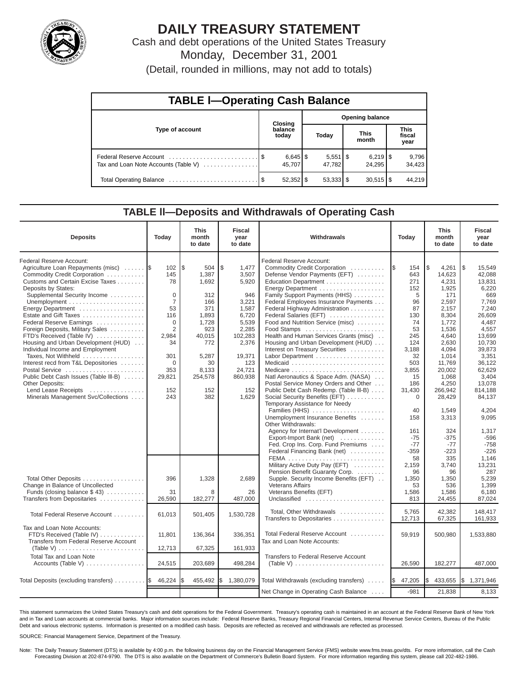

# **DAILY TREASURY STATEMENT**

Cash and debt operations of the United States Treasury Monday, December 31, 2001

(Detail, rounded in millions, may not add to totals)

| <b>TABLE I-Operating Cash Balance</b> |  |                      |                        |                                 |  |                        |  |                               |  |  |
|---------------------------------------|--|----------------------|------------------------|---------------------------------|--|------------------------|--|-------------------------------|--|--|
|                                       |  | Closing              | <b>Opening balance</b> |                                 |  |                        |  |                               |  |  |
| Type of account                       |  | balance<br>today     |                        | Today                           |  | <b>This</b><br>month   |  | <b>This</b><br>fiscal<br>year |  |  |
| Tax and Loan Note Accounts (Table V)  |  | $6,645$ \$<br>45.707 |                        | $5,551$ $\frac{1}{3}$<br>47.782 |  | 24.295                 |  | 9,796<br>34,423               |  |  |
|                                       |  |                      |                        | $53,333$ $\frac{1}{3}$          |  | $30,515$ $\frac{8}{3}$ |  | 44.219                        |  |  |

#### **TABLE ll—Deposits and Withdrawals of Operating Cash**

| <b>Deposits</b>                                                                                                                                                                                                                                                                                                                                                                                                                                                                                                                                                                                                                  | Today                                                                                                                                  | <b>This</b><br>month<br>to date                                                                                                              | <b>Fiscal</b><br>year<br>to date                                                                                                                            | Withdrawals                                                                                                                                                                                                                                                                                                                                                                                                                                                                                                                                                                                                                          | Today                                                                                                                                        | <b>This</b><br>month<br>to date                                                                                                                                                            | <b>Fiscal</b><br>year<br>to date                                                                                                                                                                   |
|----------------------------------------------------------------------------------------------------------------------------------------------------------------------------------------------------------------------------------------------------------------------------------------------------------------------------------------------------------------------------------------------------------------------------------------------------------------------------------------------------------------------------------------------------------------------------------------------------------------------------------|----------------------------------------------------------------------------------------------------------------------------------------|----------------------------------------------------------------------------------------------------------------------------------------------|-------------------------------------------------------------------------------------------------------------------------------------------------------------|--------------------------------------------------------------------------------------------------------------------------------------------------------------------------------------------------------------------------------------------------------------------------------------------------------------------------------------------------------------------------------------------------------------------------------------------------------------------------------------------------------------------------------------------------------------------------------------------------------------------------------------|----------------------------------------------------------------------------------------------------------------------------------------------|--------------------------------------------------------------------------------------------------------------------------------------------------------------------------------------------|----------------------------------------------------------------------------------------------------------------------------------------------------------------------------------------------------|
| Federal Reserve Account:<br>Agriculture Loan Repayments (misc)<br>Commodity Credit Corporation<br>Customs and Certain Excise Taxes<br>Deposits by States:<br>Supplemental Security Income<br>Energy Department<br>Estate and Gift Taxes<br>Federal Reserve Earnings<br>Foreign Deposits, Military Sales<br>FTD's Received (Table IV)<br>Housing and Urban Development (HUD)<br>Individual Income and Employment<br>Taxes, Not Withheld<br>Interest recd from T&L Depositories<br>Postal Service<br>Public Debt Cash Issues (Table III-B)<br><b>Other Deposits:</b><br>Lend Lease Receipts<br>Minerals Management Svc/Collections | 102<br>145<br>78<br>$\Omega$<br>$\overline{7}$<br>53<br>116<br>$\Omega$<br>2<br>2,984<br>34<br>301<br>0<br>353<br>29,821<br>152<br>243 | l\$<br>504<br>1,387<br>1.692<br>312<br>166<br>371<br>1,893<br>1,728<br>923<br>40.015<br>772<br>5,287<br>30<br>8.133<br>254,578<br>152<br>382 | \$<br>1,477<br>3,507<br>5.920<br>946<br>3,221<br>1,587<br>6,720<br>5,539<br>2,285<br>102,283<br>2,376<br>19,371<br>123<br>24.721<br>860,938<br>152<br>1.629 | Federal Reserve Account:<br>Commodity Credit Corporation<br>Defense Vendor Payments (EFT)<br>Education Department<br>Energy Department<br>Family Support Payments (HHS)<br>Federal Employees Insurance Payments<br>Federal Highway Administration<br>Federal Salaries (EFT)<br>Food and Nutrition Service (misc)<br>Health and Human Services Grants (misc)<br>Housing and Urban Development (HUD)<br>Interest on Treasury Securities<br>Natl Aeronautics & Space Adm. (NASA)<br>Postal Service Money Orders and Other<br>Public Debt Cash Redemp. (Table III-B)<br>Social Security Benefits (EFT)<br>Temporary Assistance for Needy | 154<br>643<br>271<br>152<br>5<br>96<br>87<br>130<br>74<br>53<br>245<br>124<br>3,188<br>32<br>503<br>3,855<br>15<br>186<br>31,430<br>$\Omega$ | \$<br>4,261<br>14,623<br>4.231<br>1,925<br>171<br>2,597<br>2.157<br>8,304<br>1,772<br>1,536<br>4.640<br>2,630<br>4.094<br>1,014<br>11.769<br>20.002<br>1,068<br>4,250<br>266,942<br>28,429 | l\$<br>15,549<br>42,088<br>13.831<br>6,220<br>669<br>7,769<br>7.240<br>26.609<br>4,487<br>4,557<br>13.699<br>10.730<br>39.873<br>3,351<br>36.122<br>62.629<br>3,404<br>13.078<br>814,188<br>84.137 |
|                                                                                                                                                                                                                                                                                                                                                                                                                                                                                                                                                                                                                                  |                                                                                                                                        |                                                                                                                                              |                                                                                                                                                             | Families (HHS)<br>Unemployment Insurance Benefits<br>Other Withdrawals:<br>Agency for Internat'l Development<br>Export-Import Bank (net)<br>Fed. Crop Ins. Corp. Fund Premiums<br>Federal Financing Bank (net)                                                                                                                                                                                                                                                                                                                                                                                                                       | 40<br>158<br>161<br>$-75$<br>$-77$<br>$-359$                                                                                                 | 1,549<br>3,313<br>324<br>$-375$<br>$-77$<br>$-223$                                                                                                                                         | 4,204<br>9,095<br>1,317<br>$-596$<br>$-758$<br>$-226$                                                                                                                                              |
| Total Other Deposits<br>Change in Balance of Uncollected<br>Funds (closing balance $$ 43)$<br>Transfers from Depositaries                                                                                                                                                                                                                                                                                                                                                                                                                                                                                                        | 396<br>31<br>26,590                                                                                                                    | 1,328<br>8<br>182,277                                                                                                                        | 2,689<br>26<br>487,000                                                                                                                                      | Military Active Duty Pay (EFT)<br>Pension Benefit Guaranty Corp.<br>Supple. Security Income Benefits (EFT)<br><b>Veterans Affairs</b><br>Veterans Benefits (EFT)<br>Unclassified                                                                                                                                                                                                                                                                                                                                                                                                                                                     | 58<br>2,159<br>96<br>1,350<br>53<br>1,586<br>813                                                                                             | 335<br>3,740<br>96<br>1,350<br>536<br>1,586<br>24,455                                                                                                                                      | 1.146<br>13,231<br>287<br>5,239<br>1.399<br>6,180<br>87,024                                                                                                                                        |
| Total Federal Reserve Account                                                                                                                                                                                                                                                                                                                                                                                                                                                                                                                                                                                                    | 61,013                                                                                                                                 | 501,405                                                                                                                                      | 1,530,728                                                                                                                                                   | Total. Other Withdrawals<br>Transfers to Depositaries                                                                                                                                                                                                                                                                                                                                                                                                                                                                                                                                                                                | 5.765<br>12,713                                                                                                                              | 42.382<br>67,325                                                                                                                                                                           | 148.417<br>161,933                                                                                                                                                                                 |
| Tax and Loan Note Accounts:<br>FTD's Received (Table IV)<br>Transfers from Federal Reserve Account                                                                                                                                                                                                                                                                                                                                                                                                                                                                                                                               | 11,801<br>12,713                                                                                                                       | 136,364<br>67,325                                                                                                                            | 336,351<br>161,933                                                                                                                                          | Total Federal Reserve Account<br>Tax and Loan Note Accounts:                                                                                                                                                                                                                                                                                                                                                                                                                                                                                                                                                                         | 59,919                                                                                                                                       | 500,980                                                                                                                                                                                    | 1,533,880                                                                                                                                                                                          |
| Total Tax and Loan Note<br>Accounts (Table V)                                                                                                                                                                                                                                                                                                                                                                                                                                                                                                                                                                                    | 24,515                                                                                                                                 | 203,689                                                                                                                                      | 498,284                                                                                                                                                     | Transfers to Federal Reserve Account<br>(Table V)                                                                                                                                                                                                                                                                                                                                                                                                                                                                                                                                                                                    | 26,590                                                                                                                                       | 182,277                                                                                                                                                                                    | 487,000                                                                                                                                                                                            |
| Total Deposits (excluding transfers)                                                                                                                                                                                                                                                                                                                                                                                                                                                                                                                                                                                             | 46,224                                                                                                                                 | 455,492                                                                                                                                      | l\$<br>1,380,079                                                                                                                                            | Total Withdrawals (excluding transfers)                                                                                                                                                                                                                                                                                                                                                                                                                                                                                                                                                                                              | 47,205<br><b>S</b>                                                                                                                           | 433,655<br>S                                                                                                                                                                               | \$1,371,946                                                                                                                                                                                        |
|                                                                                                                                                                                                                                                                                                                                                                                                                                                                                                                                                                                                                                  |                                                                                                                                        |                                                                                                                                              |                                                                                                                                                             | Net Change in Operating Cash Balance                                                                                                                                                                                                                                                                                                                                                                                                                                                                                                                                                                                                 | $-981$                                                                                                                                       | 21,838                                                                                                                                                                                     | 8,133                                                                                                                                                                                              |

This statement summarizes the United States Treasury's cash and debt operations for the Federal Government. Treasury's operating cash is maintained in an account at the Federal Reserve Bank of New York and in Tax and Loan accounts at commercial banks. Major information sources include: Federal Reserve Banks, Treasury Regional Financial Centers, Internal Revenue Service Centers, Bureau of the Public Debt and various electronic systems. Information is presented on a modified cash basis. Deposits are reflected as received and withdrawals are reflected as processed.

SOURCE: Financial Management Service, Department of the Treasury.

Note: The Daily Treasury Statement (DTS) is available by 4:00 p.m. the following business day on the Financial Management Service (FMS) website www.fms.treas.gov/dts. For more information, call the Cash Forecasting Division at 202-874-9790. The DTS is also available on the Department of Commerce's Bulletin Board System. For more information regarding this system, please call 202-482-1986.